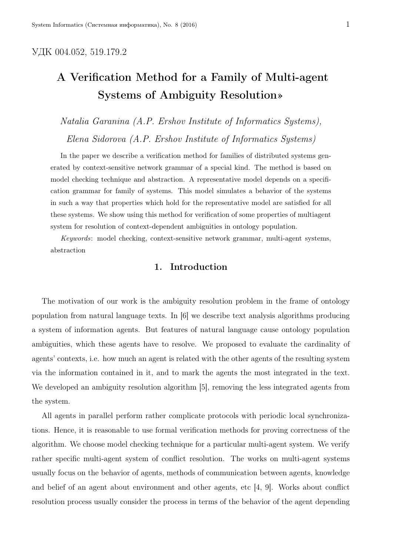## УДК 004.052, 519.179.2

# A Verification Method for a Family of Multi-agent Systems of Ambiguity Resolution»

*Natalia Garanina (A.P. Ershov Institute of Informatics Systems), Elena Sidorova (A.P. Ershov Institute of Informatics Systems)*

In the paper we describe a verification method for families of distributed systems generated by context-sensitive network grammar of a special kind. The method is based on model checking technique and abstraction. A representative model depends on a specification grammar for family of systems. This model simulates a behavior of the systems in such a way that properties which hold for the representative model are satisfied for all these systems. We show using this method for verification of some properties of multiagent system for resolution of context-dependent ambiguities in ontology population.

*Keywords*: model checking, context-sensitive network grammar, multi-agent systems, abstraction

## 1. Introduction

The motivation of our work is the ambiguity resolution problem in the frame of ontology population from natural language texts. In [6] we describe text analysis algorithms producing a system of information agents. But features of natural language cause ontology population ambiguities, which these agents have to resolve. We proposed to evaluate the cardinality of agents' contexts, i.e. how much an agent is related with the other agents of the resulting system via the information contained in it, and to mark the agents the most integrated in the text. We developed an ambiguity resolution algorithm [5], removing the less integrated agents from the system.

All agents in parallel perform rather complicate protocols with periodic local synchronizations. Hence, it is reasonable to use formal verification methods for proving correctness of the algorithm. We choose model checking technique for a particular multi-agent system. We verify rather specific multi-agent system of conflict resolution. The works on multi-agent systems usually focus on the behavior of agents, methods of communication between agents, knowledge and belief of an agent about environment and other agents, etc [4, 9]. Works about conflict resolution process usually consider the process in terms of the behavior of the agent depending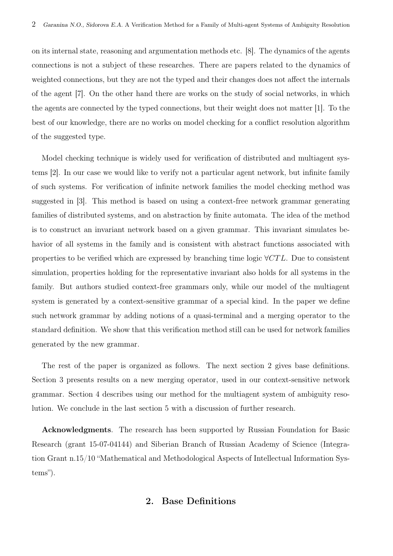on its internal state, reasoning and argumentation methods etc. [8]. The dynamics of the agents connections is not a subject of these researches. There are papers related to the dynamics of weighted connections, but they are not the typed and their changes does not affect the internals of the agent [7]. On the other hand there are works on the study of social networks, in which the agents are connected by the typed connections, but their weight does not matter [1]. To the best of our knowledge, there are no works on model checking for a conflict resolution algorithm of the suggested type.

Model checking technique is widely used for verification of distributed and multiagent systems [2]. In our case we would like to verify not a particular agent network, but infinite family of such systems. For verification of infinite network families the model checking method was suggested in [3]. This method is based on using a context-free network grammar generating families of distributed systems, and on abstraction by finite automata. The idea of the method is to construct an invariant network based on a given grammar. This invariant simulates behavior of all systems in the family and is consistent with abstract functions associated with properties to be verified which are expressed by branching time logic *∀CT L*. Due to consistent simulation, properties holding for the representative invariant also holds for all systems in the family. But authors studied context-free grammars only, while our model of the multiagent system is generated by a context-sensitive grammar of a special kind. In the paper we define such network grammar by adding notions of a quasi-terminal and a merging operator to the standard definition. We show that this verification method still can be used for network families generated by the new grammar.

The rest of the paper is organized as follows. The next section 2 gives base definitions. Section 3 presents results on a new merging operator, used in our context-sensitive network grammar. Section 4 describes using our method for the multiagent system of ambiguity resolution. We conclude in the last section 5 with a discussion of further research.

Acknowledgments. The research has been supported by Russian Foundation for Basic Research (grant 15-07-04144) and Siberian Branch of Russian Academy of Science (Integration Grant n.15/10 "Mathematical and Methodological Aspects of Intellectual Information Systems").

## 2. Base Definitions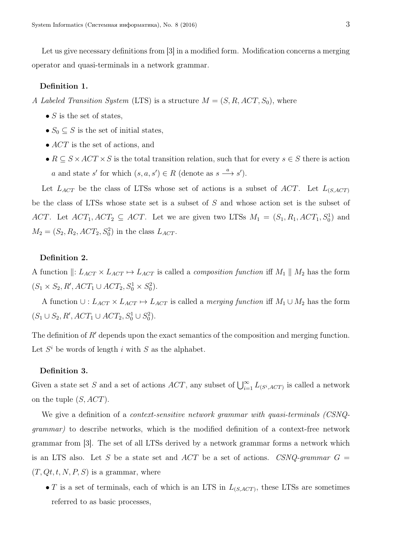Let us give necessary definitions from [3] in a modified form. Modification concerns a merging operator and quasi-terminals in a network grammar.

#### Definition 1.

*A Labeled Transition System* (LTS) is a structure *M* = (*S, R, ACT, S*0), where

- *S* is the set of states,
- $S_0 \subseteq S$  is the set of initial states,
- $ACT$  is the set of actions, and
- $R \subseteq S \times ACT \times S$  is the total transition relation, such that for every  $s \in S$  there is action *a* and state *s'* for which  $(s, a, s') \in R$  (denote as  $s \xrightarrow{a} s'$ ).

Let  $L_{ACT}$  be the class of LTSs whose set of actions is a subset of *ACT*. Let  $L_{(S, ACT)}$ be the class of LTSs whose state set is a subset of *S* and whose action set is the subset of *ACT*. Let  $ACT_1, ACT_2 \subseteq ACT$ . Let we are given two LTSs  $M_1 = (S_1, R_1, ACT_1, S_0^1)$  and  $M_2 = (S_2, R_2, ACT_2, S_0^2)$  in the class  $L_{ACT}$ .

### Definition 2.

A function  $\parallel$ :  $L_{ACT} \times L_{ACT} \rightarrow L_{ACT}$  is called a *composition function* iff  $M_1 \parallel M_2$  has the form  $(S_1 \times S_2, R', ACT_1 \cup ACT_2, S_0^1 \times S_0^2).$ 

A function  $∪: L_{ACT} \times L_{ACT} \mapsto L_{ACT}$  is called a *merging function* iff  $M_1 ∪ M_2$  has the form  $(S_1 \cup S_2, R', ACT_1 \cup ACT_2, S_0^1 \cup S_0^2).$ 

The definition of *R'* depends upon the exact semantics of the composition and merging function. Let  $S^i$  be words of length *i* with  $S$  as the alphabet.

#### Definition 3.

Given a state set *S* and a set of actions *ACT*, any subset of  $\bigcup_{i=1}^{\infty} L_{(S^i, ACT)}$  is called a network on the tuple (*S, ACT*).

We give a definition of a *context-sensitive network grammar with quasi-terminals (CSNQgrammar)* to describe networks, which is the modified definition of a context-free network grammar from [3]. The set of all LTSs derived by a network grammar forms a network which is an LTS also. Let *S* be a state set and *ACT* be a set of actions. *CSNQ-grammar*  $G =$  $(T, Qt, t, N, P, S)$  is a grammar, where

 $\bullet$  *T* is a set of terminals, each of which is an LTS in  $L_{(S, ACT)}$ , these LTSs are sometimes referred to as basic processes,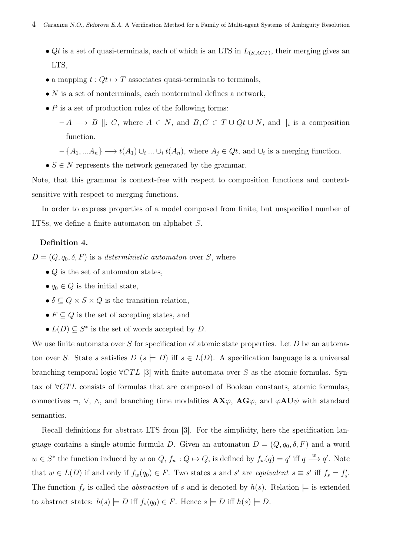- *• Qt* is a set of quasi-terminals, each of which is an LTS in *L*(*S,ACT*) , their merging gives an LTS,
- a mapping  $t: Qt \mapsto T$  associates quasi-terminals to terminals,
- *N* is a set of nonterminals, each nonterminal defines a network,
- *P* is a set of production rules of the following forms:

– *A −→ B ∥<sup>i</sup> C*, where *A ∈ N*, and *B, C ∈ T ∪ Qt ∪ N*, and *∥<sup>i</sup>* is a composition function.

 $-\{A_1, \ldots A_n\} \longrightarrow t(A_1) \cup_i \ldots \cup_i t(A_n)$ , where  $A_j \in Qt$ , and  $\cup_i$  is a merging function.

 $\bullet$  *S*  $\in$  *N* represents the network generated by the grammar.

Note, that this grammar is context-free with respect to composition functions and contextsensitive with respect to merging functions.

In order to express properties of a model composed from finite, but unspecified number of LTSs, we define a finite automaton on alphabet *S*.

#### Definition 4.

 $D = (Q, q_0, \delta, F)$  is a *deterministic automaton* over *S*, where

- *• Q* is the set of automaton states,
- $q_0 \in Q$  is the initial state,
- $\delta \subseteq Q \times S \times Q$  is the transition relation,
- $F \subseteq Q$  is the set of accepting states, and
- $L(D) \subseteq S^*$  is the set of words accepted by *D*.

We use finite automata over *S* for specification of atomic state properties. Let *D* be an automaton over *S*. State *s* satisfies  $D$  ( $s \models D$ ) iff  $s \in L(D)$ . A specification language is a universal branching temporal logic *∀CT L* [3] with finite automata over *S* as the atomic formulas. Syntax of *∀CT L* consists of formulas that are composed of Boolean constants, atomic formulas, connectives  $\neg$ ,  $\nabla$ ,  $\wedge$ , and branching time modalities  $\mathbf{AX}\varphi$ ,  $\mathbf{AG}\varphi$ , and  $\varphi \mathbf{AU}\psi$  with standard semantics.

Recall definitions for abstract LTS from [3]. For the simplicity, here the specification language contains a single atomic formula *D*. Given an automaton  $D = (Q, q_0, \delta, F)$  and a word  $w \in S^*$  the function induced by w on  $Q, f_w: Q \mapsto Q$ , is defined by  $f_w(q) = q'$  iff  $q \stackrel{w}{\longrightarrow} q'$ . Note that  $w \in L(D)$  if and only if  $f_w(q_0) \in F$ . Two states s and s' are equivalent  $s \equiv s'$  iff  $f_s = f'_s$ . The function  $f_s$  is called the *abstraction* of *s* and is denoted by  $h(s)$ . Relation  $\models$  is extended to abstract states:  $h(s) \models D$  iff  $f_s(q_0) \in F$ . Hence  $s \models D$  iff  $h(s) \models D$ .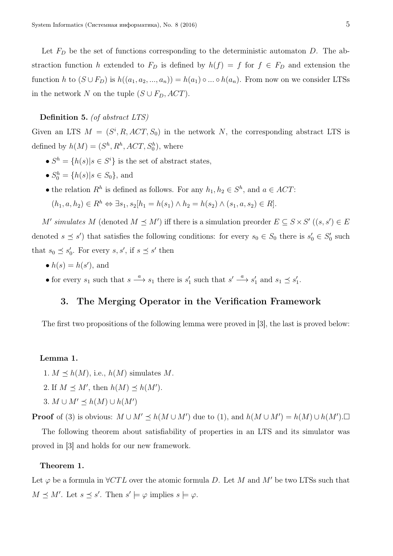Let *F<sup>D</sup>* be the set of functions corresponding to the deterministic automaton *D*. The abstraction function *h* extended to  $F<sub>D</sub>$  is defined by  $h(f) = f$  for  $f \in F<sub>D</sub>$  and extension the function *h* to  $(S \cup F_D)$  is  $h((a_1, a_2, ..., a_n)) = h(a_1) \circ ... \circ h(a_n)$ . From now on we consider LTSs in the network *N* on the tuple  $(S \cup F_D, ACT)$ .

#### Definition 5. *(of abstract LTS)*

Given an LTS  $M = (S^i, R, ACT, S_0)$  in the network *N*, the corresponding abstract LTS is defined by  $h(M) = (S^h, R^h, ACT, S_0^h)$ , where

- $S^h = \{h(s) | s \in S^i\}$  is the set of abstract states,
- $S_0^h = \{h(s) | s \in S_0\}$ , and
- the relation  $R^h$  is defined as follows. For any  $h_1, h_2 \in S^h$ , and  $a \in ACT$ :

$$
(h_1, a, h_2) \in R^h \Leftrightarrow \exists s_1, s_2[h_1 = h(s_1) \land h_2 = h(s_2) \land (s_1, a, s_2) \in R].
$$

*M'* simulates *M* (denoted  $M \preceq M'$ ) iff there is a simulation preorder  $E \subseteq S \times S'$  ( $(s, s') \in E$ denoted  $s \leq s'$  that satisfies the following conditions: for every  $s_0 \in S_0$  there is  $s'_0 \in S'_0$  such that  $s_0 \preceq s'_0$ . For every  $s, s'$ , if  $s \preceq s'$  then

- $h(s) = h(s')$ , and
- for every  $s_1$  such that  $s \xrightarrow{a} s_1$  there is  $s'_1$  such that  $s' \xrightarrow{a} s'_1$  and  $s_1 \preceq s'_1$ .

## 3. The Merging Operator in the Verification Framework

The first two propositions of the following lemma were proved in [3], the last is proved below:

## Lemma 1.

- 1.  $M \preceq h(M)$ , i.e.,  $h(M)$  simulates M.
- 2. If  $M \preceq M'$ , then  $h(M) \preceq h(M')$ .
- 3.  $M \cup M' \leq h(M) \cup h(M')$

**Proof** of (3) is obvious:  $M \cup M' \le h(M \cup M')$  due to (1), and  $h(M \cup M') = h(M) \cup h(M')$ .

The following theorem about satisfiability of properties in an LTS and its simulator was proved in [3] and holds for our new framework.

#### Theorem 1.

Let  $\varphi$  be a formula in  $\forall CTL$  over the atomic formula *D*. Let *M* and *M'* be two LTSs such that  $M \preceq M'$ . Let  $s \preceq s'$ . Then  $s' \models \varphi$  implies  $s \models \varphi$ .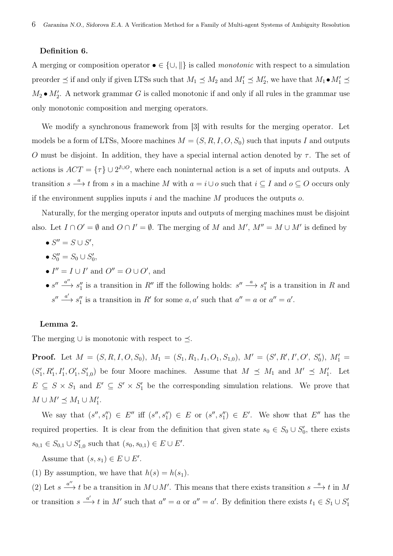#### Definition 6.

A merging or composition operator *• ∈ {∪, ∥}* is called *monotonic* with respect to a simulation preorder  $\preceq$  if and only if given LTSs such that  $M_1 \preceq M_2$  and  $M'_1 \preceq M'_2$ , we have that  $M_1 \bullet M'_1 \preceq$  $M_2 \bullet M'_2$ . A network grammar *G* is called monotonic if and only if all rules in the grammar use only monotonic composition and merging operators.

We modify a synchronous framework from [3] with results for the merging operator. Let models be a form of LTSs, Moore machines  $M = (S, R, I, O, S_0)$  such that inputs *I* and outputs *O* must be disjoint. In addition, they have a special internal action denoted by  $\tau$ . The set of actions is  $ACT = {\tau} \cup 2^{I\cup O}$ , where each noninternal action is a set of inputs and outputs. A transition  $s \stackrel{a}{\longrightarrow} t$  from  $s$  in a machine  $M$  with  $a = i \cup o$  such that  $i \subseteq I$  and  $o \subseteq O$  occurs only if the environment supplies inputs *i* and the machine *M* produces the outputs *o*.

Naturally, for the merging operator inputs and outputs of merging machines must be disjoint also. Let  $I \cap O' = \emptyset$  and  $O \cap I' = \emptyset$ . The merging of *M* and  $M'$ ,  $M'' = M \cup M'$  is defined by

- $S'' = S \cup S'$ ,
- $S_0'' = S_0 \cup S_0',$
- $I'' = I \cup I'$  and  $O'' = O \cup O'$ , and
- $s'' \xrightarrow{a''} s''_1$  is a transition in R'' iff the following holds:  $s'' \xrightarrow{a} s''_1$  is a transition in R and  $s'' \xrightarrow{a'} s''_1$  is a transition in *R'* for some *a, a'* such that  $a'' = a$  or  $a'' = a'$ .

#### Lemma 2.

The merging *∪* is monotonic with respect to *≼*.

**Proof.** Let  $M = (S, R, I, O, S_0)$ ,  $M_1 = (S_1, R_1, I_1, O_1, S_{1,0})$ ,  $M' = (S', R', I', O', S'_0)$ ,  $M'_1 =$  $(S'_1, R'_1, I'_1, O'_1, S'_{1,0})$  be four Moore machines. Assume that  $M \preceq M_1$  and  $M' \preceq M'_1$ . Let  $E \subseteq S \times S_1$  and  $E' \subseteq S' \times S'_1$  be the corresponding simulation relations. We prove that  $M \cup M' \preceq M_1 \cup M'_1$ .

We say that  $(s'', s''_1) \in E''$  iff  $(s'', s''_1) \in E$  or  $(s'', s''_1) \in E'$ . We show that  $E''$  has the required properties. It is clear from the definition that given state  $s_0 \in S_0 \cup S'_0$ , there exists  $s_{0,1} \in S_{0,1} \cup S'_{1,0}$  such that  $(s_0, s_{0,1}) \in E \cup E'$ .

Assume that  $(s, s_1) \in E \cup E'$ .

(1) By assumption, we have that  $h(s) = h(s_1)$ .

(2) Let  $s \stackrel{a''}{\longrightarrow} t$  be a transition in  $M \cup M'$ . This means that there exists transition  $s \stackrel{a}{\longrightarrow} t$  in M or transition  $s \xrightarrow{a'} t$  in M' such that  $a'' = a$  or  $a'' = a'$ . By definition there exists  $t_1 \in S_1 \cup S'_1$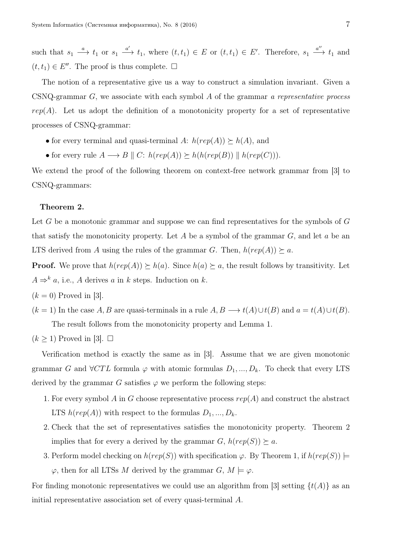such that  $s_1 \stackrel{a}{\longrightarrow} t_1$  or  $s_1 \stackrel{a'}{\longrightarrow} t_1$ , where  $(t,t_1) \in E$  or  $(t,t_1) \in E'$ . Therefore,  $s_1 \stackrel{a''}{\longrightarrow} t_1$  and  $(t, t<sub>1</sub>)$  ∈ *E''*. The proof is thus complete.  $□$ 

The notion of a representative give us a way to construct a simulation invariant. Given a CSNQ-grammar *G*, we associate with each symbol *A* of the grammar *a representative process*  $rep(A)$ . Let us adopt the definition of a monotonicity property for a set of representative processes of CSNQ-grammar:

- for every terminal and quasi-terminal *A*:  $h(rep(A)) \succeq h(A)$ , and
- for every rule  $A \longrightarrow B \parallel C$ :  $h(rep(A)) \succeq h(h(rep(B)) \parallel h(rep(C))).$

We extend the proof of the following theorem on context-free network grammar from [3] to CSNQ-grammars:

#### Theorem 2.

Let *G* be a monotonic grammar and suppose we can find representatives for the symbols of *G* that satisfy the monotonicity property. Let *A* be a symbol of the grammar *G*, and let *a* be an LTS derived from *A* using the rules of the grammar *G*. Then,  $h(rep(A)) \succeq a$ .

**Proof.** We prove that  $h(rep(A)) \geq h(a)$ . Since  $h(a) \geq a$ , the result follows by transitivity. Let  $A \Rightarrow^k a$ , i.e., *A* derives *a* in *k* steps. Induction on *k*.

- $(k = 0)$  Proved in [3].
- $(k = 1)$  In the case *A, B* are quasi-terminals in a rule  $A, B \longrightarrow t(A) \cup t(B)$  and  $a = t(A) \cup t(B)$ . The result follows from the monotonicity property and Lemma 1.
- $(k \geq 1)$  Proved in [3].  $\square$

Verification method is exactly the same as in [3]. Assume that we are given monotonic grammar *G* and  $\forall CTL$  formula  $\varphi$  with atomic formulas  $D_1, ..., D_k$ . To check that every LTS derived by the grammar *G* satisfies  $\varphi$  we perform the following steps:

- 1. For every symbol *A* in *G* choose representative process *rep*(*A*) and construct the abstract LTS  $h(rep(A))$  with respect to the formulas  $D_1, ..., D_k$ .
- 2. Check that the set of representatives satisfies the monotonicity property. Theorem 2 implies that for every a derived by the grammar  $G$ ,  $h(rep(S)) \succeq a$ .
- 3. Perform model checking on  $h(rep(S))$  with specification  $\varphi$ . By Theorem 1, if  $h(rep(S))$   $\models$  $\varphi$ , then for all LTSs *M* derived by the grammar *G*,  $M \models \varphi$ .

For finding monotonic representatives we could use an algorithm from [3] setting  $\{t(A)\}\$ as an initial representative association set of every quasi-terminal *A*.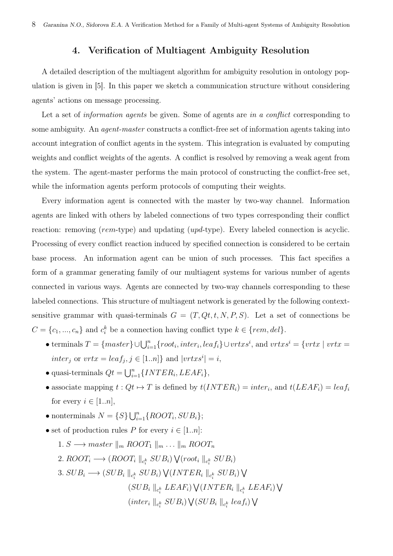## 4. Verification of Multiagent Ambiguity Resolution

A detailed description of the multiagent algorithm for ambiguity resolution in ontology population is given in [5]. In this paper we sketch a communication structure without considering agents' actions on message processing.

Let a set of *information agents* be given. Some of agents are *in a conflict* corresponding to some ambiguity. An *agent-master* constructs a conflict-free set of information agents taking into account integration of conflict agents in the system. This integration is evaluated by computing weights and conflict weights of the agents. A conflict is resolved by removing a weak agent from the system. The agent-master performs the main protocol of constructing the conflict-free set, while the information agents perform protocols of computing their weights.

Every information agent is connected with the master by two-way channel. Information agents are linked with others by labeled connections of two types corresponding their conflict reaction: removing (*rem*-type) and updating (*upd*-type). Every labeled connection is acyclic. Processing of every conflict reaction induced by specified connection is considered to be certain base process. An information agent can be union of such processes. This fact specifies a form of a grammar generating family of our multiagent systems for various number of agents connected in various ways. Agents are connected by two-way channels corresponding to these labeled connections. This structure of multiagent network is generated by the following contextsensitive grammar with quasi-terminals  $G = (T, Qt, t, N, P, S)$ . Let a set of connections be  $C = \{c_1, ..., c_n\}$  and  $c_i^k$  be a connection having conflict type  $k \in \{rem, del\}$ .

- terminals  $T = \{master\} \cup \bigcup_{i=1}^{n} \{root_i, inter_i, leaf_i\} \cup vrtxs^i$ , and  $vrtxs^i = \{vrtx \mid vrtx = r\}$  $inter_j$  or  $vrtx = leaf_j, j \in [1..n]$ } and  $|vrtxs^i| = i$ ,
- quasi-terminals  $Qt = \bigcup_{i=1}^{n} {\{INTER_i, LEAF_i\}},$
- associate mapping  $t: Qt \mapsto T$  is defined by  $t(INTER_i) = inter_i$ , and  $t(LEAF_i) = leaf_i$ for every  $i \in [1..n]$ ,
- nonterminals  $N = \{S\} \bigcup_{i=1}^{n} \{ROOT_i, SUB_i\};$
- set of production rules *P* for every  $i \in [1..n]$ :
	- 1. *S* → *master*  $\|m\|$ *ROOT*<sub>1</sub>  $\|m\|$ *...*  $\|m\|$ *ROOT*<sub>*n*</sub>
	- 2.  $ROOT_i$  →  $(ROOT_i \parallel_{c_i^k} SUB_i) \sqrt{(root_i \parallel_{c_i^k} SUB_i)}$
	- 3.  $SUB_i \longrightarrow (SUB_i \parallel_{c_i^k} SUB_i) \bigvee (INTER_i \parallel_{c_i^k} SUB_i) \bigvee$  $(SUB_i \parallel_{c_i^k} LEAF_i) ∨ (INTER_i \parallel_{c_i^k} LEAF_i) ∨ (INTER_i \parallel_{c_i^k} LEAF_i)$  $(i$ *nter<sub>i</sub>*  $||c_i^k$   $SUB_i)$   $\sqrt{(SUB_i||c_i^k \text{ } leaf_i)}$   $\sqrt{(}$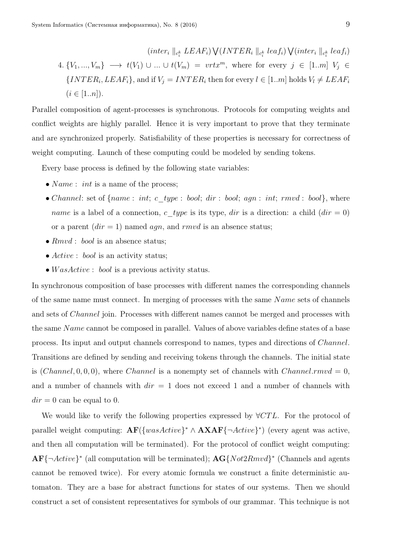$\left( inter_i \parallel_{c_i^k} LEAF_i \right) \bigvee \left( INTER_i \parallel_{c_i^k} leaf_i \right) \bigvee \left( inter_i \parallel_{c_i^k} leaf_i \right)$ 4.  $\{V_1, ..., V_m\} \longrightarrow t(V_1) \cup ... \cup t(V_m) = vrtx^m$ , where for every  $j \in [1..m]$   $V_j \in$  $\{INTER_i, LEAF_i\}$ , and if  $V_j = INTER_i$  then for every  $l \in [1..m]$  holds  $V_l \neq LEAF_i$  $(i \in [1..n]).$ 

Parallel composition of agent-processes is synchronous. Protocols for computing weights and conflict weights are highly parallel. Hence it is very important to prove that they terminate and are synchronized properly. Satisfiability of these properties is necessary for correctness of weight computing. Launch of these computing could be modeled by sending tokens.

Every base process is defined by the following state variables:

- *Name* : *int* is a name of the process;
- *Channel*: set of  ${name: int; c: type: bool; dir: bool; agn: int; rmvd: bool}$ , where *name* is a label of a connection,  $c$ \_*type* is its type, *dir* is a direction: a child  $dir = 0$ ) or a parent  $dir = 1$ ) named *agn*, and *rmvd* is an absence status;
- *• Rmvd* : *bool* is an absence status;
- *• Active* : *bool* is an activity status;
- *• W asActive* : *bool* is a previous activity status.

In synchronous composition of base processes with different names the corresponding channels of the same name must connect. In merging of processes with the same *N ame* sets of channels and sets of *Channel* join. Processes with different names cannot be merged and processes with the same *N ame* cannot be composed in parallel. Values of above variables define states of a base process. Its input and output channels correspond to names, types and directions of *Channel*. Transitions are defined by sending and receiving tokens through the channels. The initial state is  $(Channel, 0, 0, 0)$ , where *Channel* is a nonempty set of channels with *Channel.rmvd* = 0, and a number of channels with *dir* = 1 does not exceed 1 and a number of channels with  $dir = 0$  can be equal to 0.

We would like to verify the following properties expressed by *∀CT L*. For the protocol of parallel weight computing: AF(*{wasActive} <sup>∗</sup> ∧* AXAF*{¬Active} ∗* ) (every agent was active, and then all computation will be terminated). For the protocol of conflict weight computing: AF*{¬Active} ∗* (all computation will be terminated); AG*{Not*2*Rmvd} ∗* (Channels and agents cannot be removed twice). For every atomic formula we construct a finite deterministic automaton. They are a base for abstract functions for states of our systems. Then we should construct a set of consistent representatives for symbols of our grammar. This technique is not